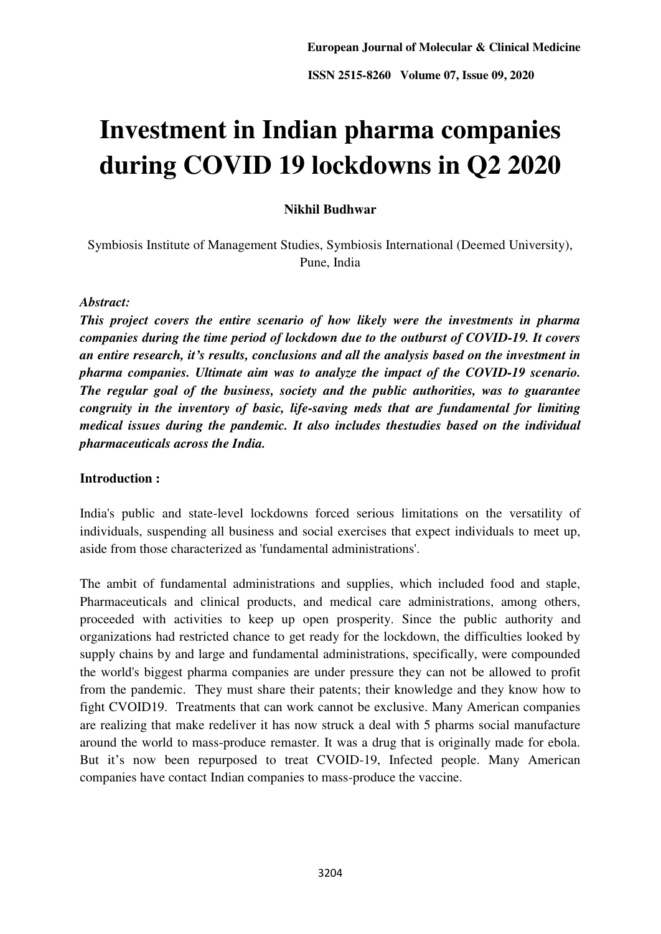# **Investment in Indian pharma companies during COVID 19 lockdowns in Q2 2020**

# **Nikhil Budhwar**

Symbiosis Institute of Management Studies, Symbiosis International (Deemed University), Pune, India

## *Abstract:*

*This project covers the entire scenario of how likely were the investments in pharma companies during the time period of lockdown due to the outburst of COVID-19. It covers an entire research, it's results, conclusions and all the analysis based on the investment in pharma companies. Ultimate aim was to analyze the impact of the COVID-19 scenario. The regular goal of the business, society and the public authorities, was to guarantee congruity in the inventory of basic, life-saving meds that are fundamental for limiting medical issues during the pandemic. It also includes thestudies based on the individual pharmaceuticals across the India.* 

# **Introduction :**

India's public and state-level lockdowns forced serious limitations on the versatility of individuals, suspending all business and social exercises that expect individuals to meet up, aside from those characterized as 'fundamental administrations'.

The ambit of fundamental administrations and supplies, which included food and staple, Pharmaceuticals and clinical products, and medical care administrations, among others, proceeded with activities to keep up open prosperity. Since the public authority and organizations had restricted chance to get ready for the lockdown, the difficulties looked by supply chains by and large and fundamental administrations, specifically, were compounded the world's biggest pharma companies are under pressure they can not be allowed to profit from the pandemic. They must share their patents; their knowledge and they know how to fight CVOID19. Treatments that can work cannot be exclusive. Many American companies are realizing that make redeliver it has now struck a deal with 5 pharms social manufacture around the world to mass-produce remaster. It was a drug that is originally made for ebola. But it's now been repurposed to treat CVOID-19, Infected people. Many American companies have contact Indian companies to mass-produce the vaccine.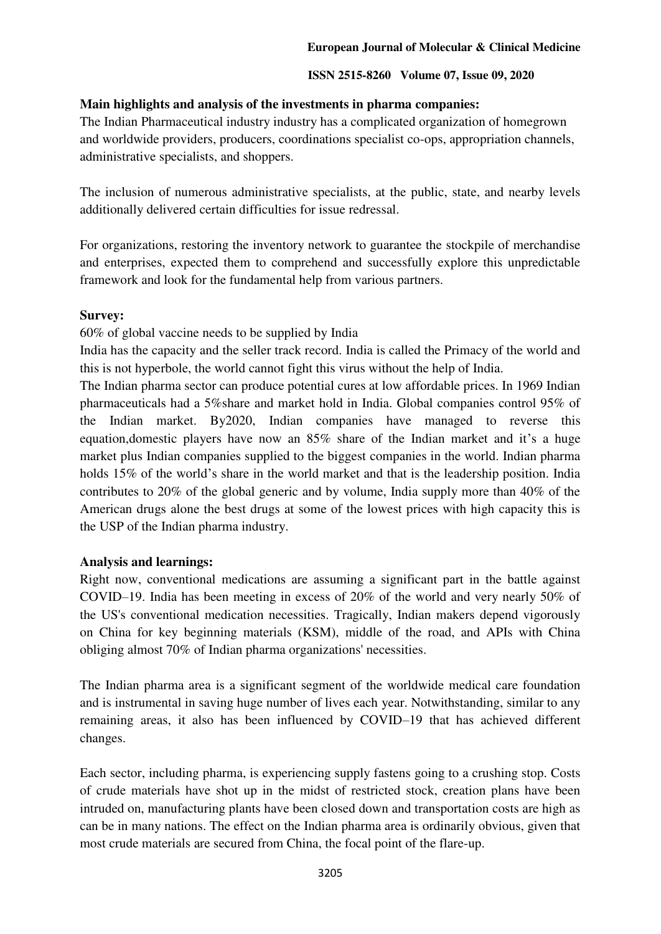# **Main highlights and analysis of the investments in pharma companies:**

The Indian Pharmaceutical industry industry has a complicated organization of homegrown and worldwide providers, producers, coordinations specialist co-ops, appropriation channels, administrative specialists, and shoppers.

The inclusion of numerous administrative specialists, at the public, state, and nearby levels additionally delivered certain difficulties for issue redressal.

For organizations, restoring the inventory network to guarantee the stockpile of merchandise and enterprises, expected them to comprehend and successfully explore this unpredictable framework and look for the fundamental help from various partners.

### **Survey:**

60% of global vaccine needs to be supplied by India

India has the capacity and the seller track record. India is called the Primacy of the world and this is not hyperbole, the world cannot fight this virus without the help of India.

The Indian pharma sector can produce potential cures at low affordable prices. In 1969 Indian pharmaceuticals had a 5%share and market hold in India. Global companies control 95% of the Indian market. By2020, Indian companies have managed to reverse this equation,domestic players have now an 85% share of the Indian market and it's a huge market plus Indian companies supplied to the biggest companies in the world. Indian pharma holds 15% of the world's share in the world market and that is the leadership position. India contributes to 20% of the global generic and by volume, India supply more than 40% of the American drugs alone the best drugs at some of the lowest prices with high capacity this is the USP of the Indian pharma industry.

### **Analysis and learnings:**

Right now, conventional medications are assuming a significant part in the battle against COVID–19. India has been meeting in excess of 20% of the world and very nearly 50% of the US's conventional medication necessities. Tragically, Indian makers depend vigorously on China for key beginning materials (KSM), middle of the road, and APIs with China obliging almost 70% of Indian pharma organizations' necessities.

The Indian pharma area is a significant segment of the worldwide medical care foundation and is instrumental in saving huge number of lives each year. Notwithstanding, similar to any remaining areas, it also has been influenced by COVID–19 that has achieved different changes.

Each sector, including pharma, is experiencing supply fastens going to a crushing stop. Costs of crude materials have shot up in the midst of restricted stock, creation plans have been intruded on, manufacturing plants have been closed down and transportation costs are high as can be in many nations. The effect on the Indian pharma area is ordinarily obvious, given that most crude materials are secured from China, the focal point of the flare-up.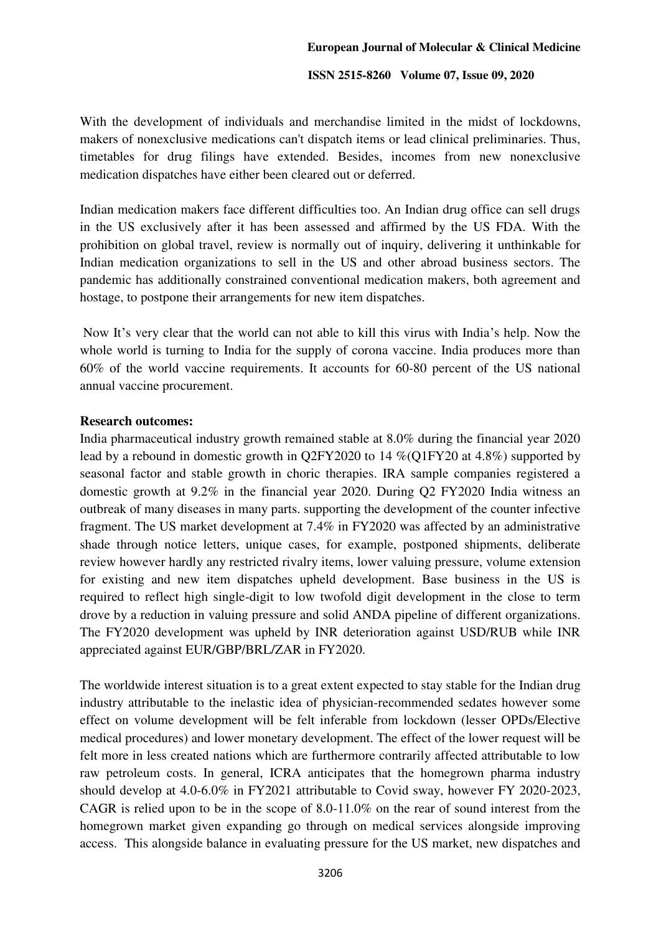With the development of individuals and merchandise limited in the midst of lockdowns, makers of nonexclusive medications can't dispatch items or lead clinical preliminaries. Thus, timetables for drug filings have extended. Besides, incomes from new nonexclusive medication dispatches have either been cleared out or deferred.

Indian medication makers face different difficulties too. An Indian drug office can sell drugs in the US exclusively after it has been assessed and affirmed by the US FDA. With the prohibition on global travel, review is normally out of inquiry, delivering it unthinkable for Indian medication organizations to sell in the US and other abroad business sectors. The pandemic has additionally constrained conventional medication makers, both agreement and hostage, to postpone their arrangements for new item dispatches.

 Now It's very clear that the world can not able to kill this virus with India's help. Now the whole world is turning to India for the supply of corona vaccine. India produces more than 60% of the world vaccine requirements. It accounts for 60-80 percent of the US national annual vaccine procurement.

### **Research outcomes:**

India pharmaceutical industry growth remained stable at 8.0% during the financial year 2020 lead by a rebound in domestic growth in Q2FY2020 to 14 %(Q1FY20 at 4.8%) supported by seasonal factor and stable growth in choric therapies. IRA sample companies registered a domestic growth at 9.2% in the financial year 2020. During Q2 FY2020 India witness an outbreak of many diseases in many parts. supporting the development of the counter infective fragment. The US market development at 7.4% in FY2020 was affected by an administrative shade through notice letters, unique cases, for example, postponed shipments, deliberate review however hardly any restricted rivalry items, lower valuing pressure, volume extension for existing and new item dispatches upheld development. Base business in the US is required to reflect high single-digit to low twofold digit development in the close to term drove by a reduction in valuing pressure and solid ANDA pipeline of different organizations. The FY2020 development was upheld by INR deterioration against USD/RUB while INR appreciated against EUR/GBP/BRL/ZAR in FY2020.

The worldwide interest situation is to a great extent expected to stay stable for the Indian drug industry attributable to the inelastic idea of physician-recommended sedates however some effect on volume development will be felt inferable from lockdown (lesser OPDs/Elective medical procedures) and lower monetary development. The effect of the lower request will be felt more in less created nations which are furthermore contrarily affected attributable to low raw petroleum costs. In general, ICRA anticipates that the homegrown pharma industry should develop at 4.0-6.0% in FY2021 attributable to Covid sway, however FY 2020-2023, CAGR is relied upon to be in the scope of 8.0-11.0% on the rear of sound interest from the homegrown market given expanding go through on medical services alongside improving access. This alongside balance in evaluating pressure for the US market, new dispatches and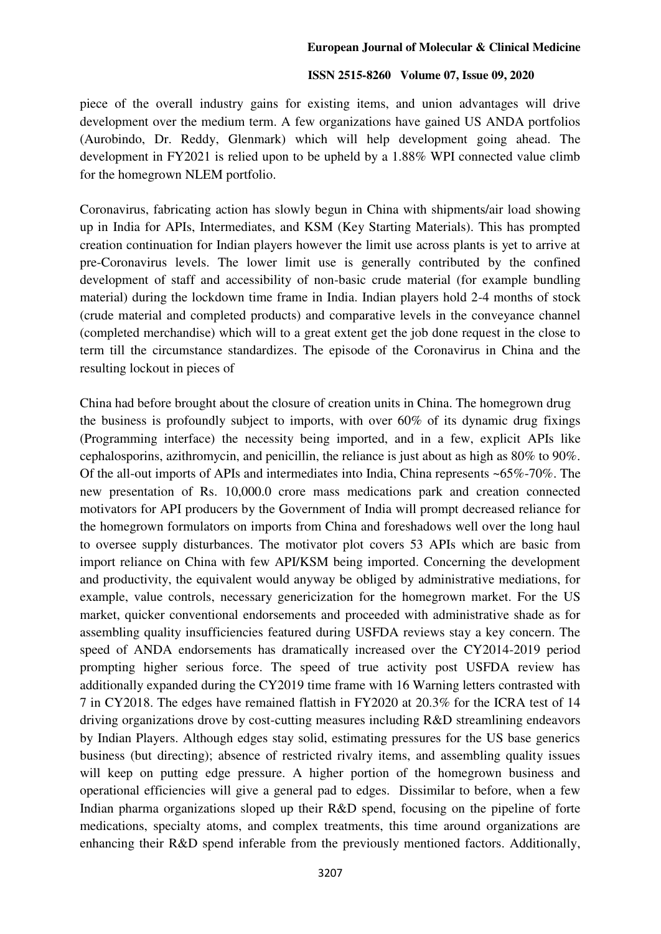#### **European Journal of Molecular & Clinical Medicine**

#### **ISSN 2515-8260 Volume 07, Issue 09, 2020**

piece of the overall industry gains for existing items, and union advantages will drive development over the medium term. A few organizations have gained US ANDA portfolios (Aurobindo, Dr. Reddy, Glenmark) which will help development going ahead. The development in FY2021 is relied upon to be upheld by a 1.88% WPI connected value climb for the homegrown NLEM portfolio.

Coronavirus, fabricating action has slowly begun in China with shipments/air load showing up in India for APIs, Intermediates, and KSM (Key Starting Materials). This has prompted creation continuation for Indian players however the limit use across plants is yet to arrive at pre-Coronavirus levels. The lower limit use is generally contributed by the confined development of staff and accessibility of non-basic crude material (for example bundling material) during the lockdown time frame in India. Indian players hold 2-4 months of stock (crude material and completed products) and comparative levels in the conveyance channel (completed merchandise) which will to a great extent get the job done request in the close to term till the circumstance standardizes. The episode of the Coronavirus in China and the resulting lockout in pieces of

China had before brought about the closure of creation units in China. The homegrown drug the business is profoundly subject to imports, with over 60% of its dynamic drug fixings (Programming interface) the necessity being imported, and in a few, explicit APIs like cephalosporins, azithromycin, and penicillin, the reliance is just about as high as 80% to 90%. Of the all-out imports of APIs and intermediates into India, China represents ~65%-70%. The new presentation of Rs. 10,000.0 crore mass medications park and creation connected motivators for API producers by the Government of India will prompt decreased reliance for the homegrown formulators on imports from China and foreshadows well over the long haul to oversee supply disturbances. The motivator plot covers 53 APIs which are basic from import reliance on China with few API/KSM being imported. Concerning the development and productivity, the equivalent would anyway be obliged by administrative mediations, for example, value controls, necessary genericization for the homegrown market. For the US market, quicker conventional endorsements and proceeded with administrative shade as for assembling quality insufficiencies featured during USFDA reviews stay a key concern. The speed of ANDA endorsements has dramatically increased over the CY2014-2019 period prompting higher serious force. The speed of true activity post USFDA review has additionally expanded during the CY2019 time frame with 16 Warning letters contrasted with 7 in CY2018. The edges have remained flattish in FY2020 at 20.3% for the ICRA test of 14 driving organizations drove by cost-cutting measures including R&D streamlining endeavors by Indian Players. Although edges stay solid, estimating pressures for the US base generics business (but directing); absence of restricted rivalry items, and assembling quality issues will keep on putting edge pressure. A higher portion of the homegrown business and operational efficiencies will give a general pad to edges. Dissimilar to before, when a few Indian pharma organizations sloped up their R&D spend, focusing on the pipeline of forte medications, specialty atoms, and complex treatments, this time around organizations are enhancing their R&D spend inferable from the previously mentioned factors. Additionally,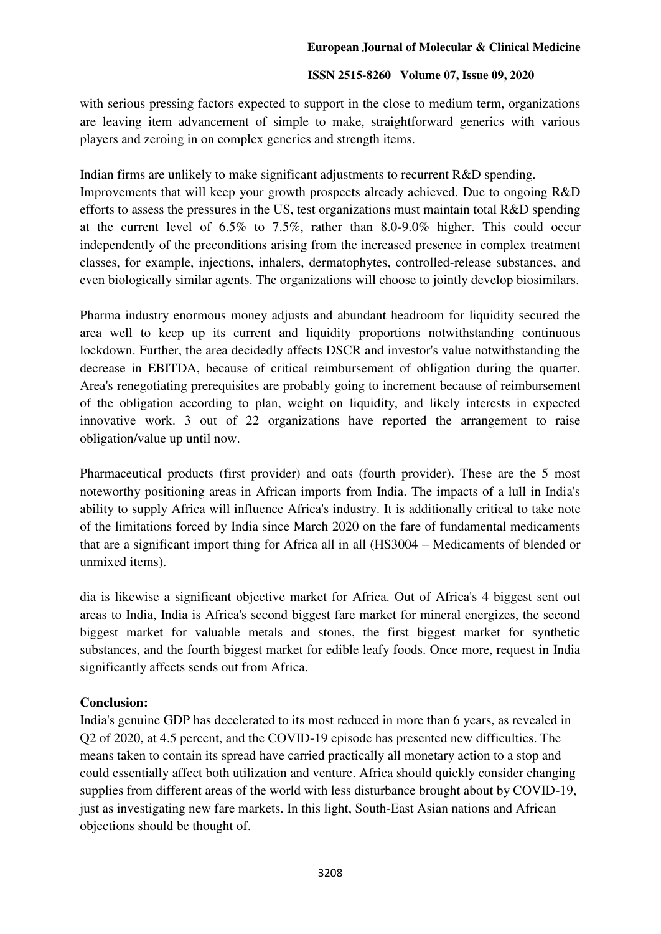with serious pressing factors expected to support in the close to medium term, organizations are leaving item advancement of simple to make, straightforward generics with various players and zeroing in on complex generics and strength items.

Indian firms are unlikely to make significant adjustments to recurrent R&D spending.

Improvements that will keep your growth prospects already achieved. Due to ongoing R&D efforts to assess the pressures in the US, test organizations must maintain total R&D spending at the current level of 6.5% to 7.5%, rather than 8.0-9.0% higher. This could occur independently of the preconditions arising from the increased presence in complex treatment classes, for example, injections, inhalers, dermatophytes, controlled-release substances, and even biologically similar agents. The organizations will choose to jointly develop biosimilars.

Pharma industry enormous money adjusts and abundant headroom for liquidity secured the area well to keep up its current and liquidity proportions notwithstanding continuous lockdown. Further, the area decidedly affects DSCR and investor's value notwithstanding the decrease in EBITDA, because of critical reimbursement of obligation during the quarter. Area's renegotiating prerequisites are probably going to increment because of reimbursement of the obligation according to plan, weight on liquidity, and likely interests in expected innovative work. 3 out of 22 organizations have reported the arrangement to raise obligation/value up until now.

Pharmaceutical products (first provider) and oats (fourth provider). These are the 5 most noteworthy positioning areas in African imports from India. The impacts of a lull in India's ability to supply Africa will influence Africa's industry. It is additionally critical to take note of the limitations forced by India since March 2020 on the fare of fundamental medicaments that are a significant import thing for Africa all in all (HS3004 – Medicaments of blended or unmixed items).

dia is likewise a significant objective market for Africa. Out of Africa's 4 biggest sent out areas to India, India is Africa's second biggest fare market for mineral energizes, the second biggest market for valuable metals and stones, the first biggest market for synthetic substances, and the fourth biggest market for edible leafy foods. Once more, request in India significantly affects sends out from Africa.

# **Conclusion:**

India's genuine GDP has decelerated to its most reduced in more than 6 years, as revealed in Q2 of 2020, at 4.5 percent, and the COVID-19 episode has presented new difficulties. The means taken to contain its spread have carried practically all monetary action to a stop and could essentially affect both utilization and venture. Africa should quickly consider changing supplies from different areas of the world with less disturbance brought about by COVID-19, just as investigating new fare markets. In this light, South-East Asian nations and African objections should be thought of.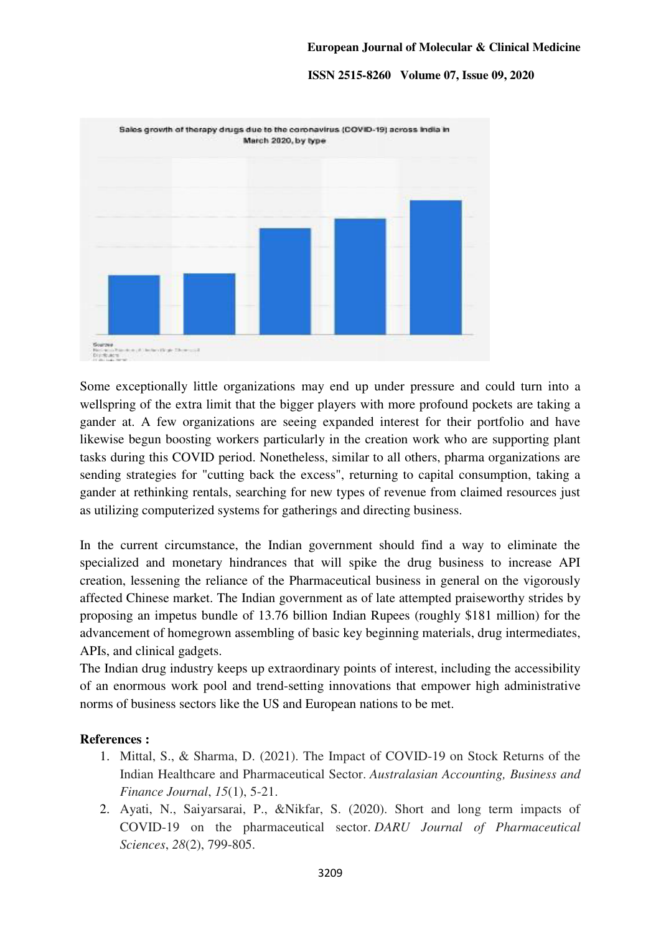

Some exceptionally little organizations may end up under pressure and could turn into a wellspring of the extra limit that the bigger players with more profound pockets are taking a gander at. A few organizations are seeing expanded interest for their portfolio and have likewise begun boosting workers particularly in the creation work who are supporting plant tasks during this COVID period. Nonetheless, similar to all others, pharma organizations are sending strategies for "cutting back the excess", returning to capital consumption, taking a gander at rethinking rentals, searching for new types of revenue from claimed resources just as utilizing computerized systems for gatherings and directing business.

In the current circumstance, the Indian government should find a way to eliminate the specialized and monetary hindrances that will spike the drug business to increase API creation, lessening the reliance of the Pharmaceutical business in general on the vigorously affected Chinese market. The Indian government as of late attempted praiseworthy strides by proposing an impetus bundle of 13.76 billion Indian Rupees (roughly \$181 million) for the advancement of homegrown assembling of basic key beginning materials, drug intermediates, APIs, and clinical gadgets.

The Indian drug industry keeps up extraordinary points of interest, including the accessibility of an enormous work pool and trend-setting innovations that empower high administrative norms of business sectors like the US and European nations to be met.

#### **References :**

- 1. Mittal, S., & Sharma, D. (2021). The Impact of COVID-19 on Stock Returns of the Indian Healthcare and Pharmaceutical Sector. *Australasian Accounting, Business and Finance Journal*, *15*(1), 5-21.
- 2. Ayati, N., Saiyarsarai, P., &Nikfar, S. (2020). Short and long term impacts of COVID-19 on the pharmaceutical sector. *DARU Journal of Pharmaceutical Sciences*, *28*(2), 799-805.